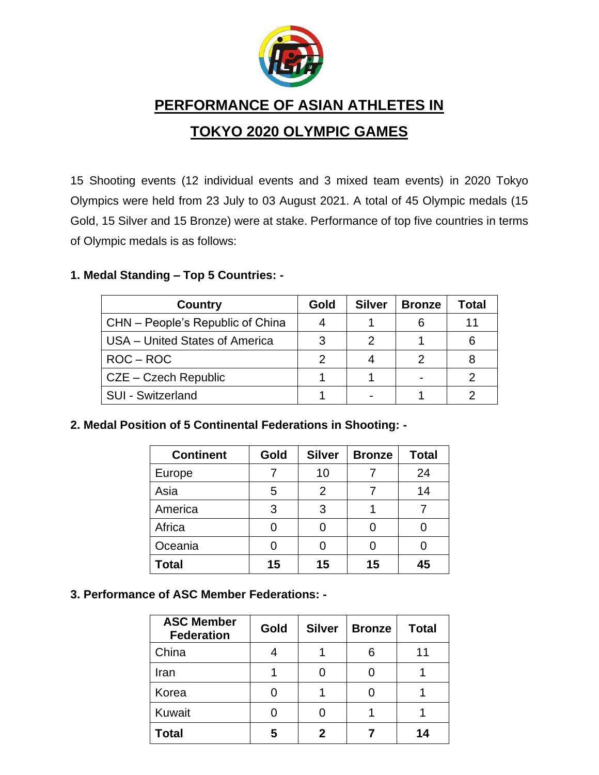

**PERFORMANCE OF ASIAN ATHLETES IN** 

# **TOKYO 2020 OLYMPIC GAMES**

15 Shooting events (12 individual events and 3 mixed team events) in 2020 Tokyo Olympics were held from 23 July to 03 August 2021. A total of 45 Olympic medals (15 Gold, 15 Silver and 15 Bronze) were at stake. Performance of top five countries in terms of Olympic medals is as follows:

### **1. Medal Standing – Top 5 Countries: -**

| <b>Country</b>                   | Gold | <b>Silver</b> | <b>Bronze</b> | Total |
|----------------------------------|------|---------------|---------------|-------|
| CHN - People's Republic of China |      |               | 6             | 11    |
| USA - United States of America   |      | っ             |               |       |
| $ROC - ROC$                      | 2    |               |               |       |
| CZE – Czech Republic             |      |               |               | 2     |
| <b>SUI - Switzerland</b>         |      |               |               |       |

**2. Medal Position of 5 Continental Federations in Shooting: -**

| <b>Continent</b> | Gold | <b>Silver</b>  | <b>Bronze</b> | <b>Total</b> |
|------------------|------|----------------|---------------|--------------|
| Europe           |      | 10             |               | 24           |
| Asia             | 5    | $\overline{2}$ |               | 14           |
| America          | 3    | 3              |               |              |
| Africa           |      |                | 0             |              |
| Oceania          |      |                | 0             |              |
| <b>Total</b>     | 15   | 15             | 15            | 45           |

**3. Performance of ASC Member Federations: -**

| <b>ASC Member</b><br><b>Federation</b> | Gold | <b>Silver</b> | <b>Bronze</b> | <b>Total</b> |
|----------------------------------------|------|---------------|---------------|--------------|
| China                                  |      |               | 6             | 11           |
| Iran                                   |      |               |               |              |
| Korea                                  |      |               |               |              |
| Kuwait                                 |      |               |               |              |
| <b>Total</b>                           | 5    | 2             |               | 14           |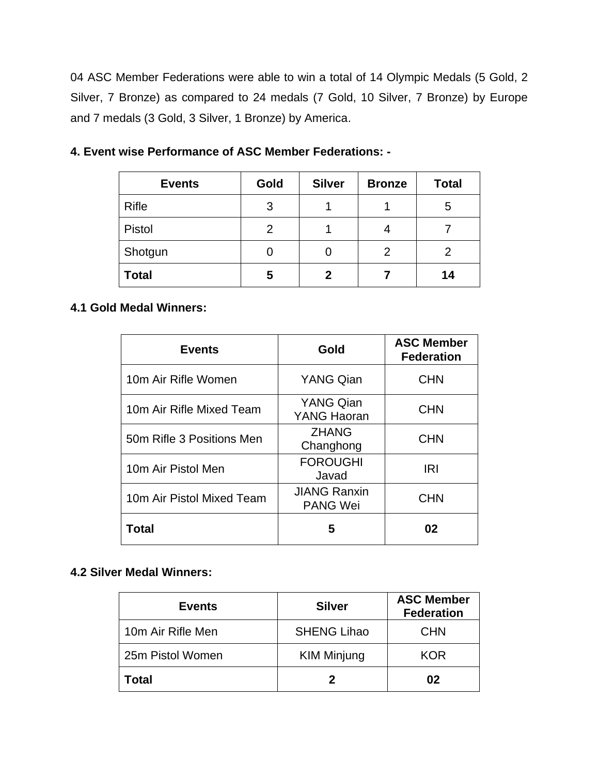04 ASC Member Federations were able to win a total of 14 Olympic Medals (5 Gold, 2 Silver, 7 Bronze) as compared to 24 medals (7 Gold, 10 Silver, 7 Bronze) by Europe and 7 medals (3 Gold, 3 Silver, 1 Bronze) by America.

| <b>Events</b> | Gold | <b>Silver</b> | <b>Bronze</b> | <b>Total</b> |
|---------------|------|---------------|---------------|--------------|
| <b>Rifle</b>  | 3    |               |               | 5            |
| Pistol        | 2    |               |               |              |
| Shotgun       |      |               | 2             | 2            |
| <b>Total</b>  | 5    | 2             |               | 14           |

**4. Event wise Performance of ASC Member Federations: -**

#### **4.1 Gold Medal Winners:**

| <b>Events</b>             | Gold                                   | <b>ASC Member</b><br><b>Federation</b> |
|---------------------------|----------------------------------------|----------------------------------------|
| 10m Air Rifle Women       | <b>YANG Qian</b>                       | <b>CHN</b>                             |
| 10m Air Rifle Mixed Team  | <b>YANG Qian</b><br><b>YANG Haoran</b> | <b>CHN</b>                             |
| 50m Rifle 3 Positions Men | <b>ZHANG</b><br>Changhong              | <b>CHN</b>                             |
| 10m Air Pistol Men        | <b>FOROUGHI</b><br>Javad               | <b>IRI</b>                             |
| 10m Air Pistol Mixed Team | <b>JIANG Ranxin</b><br><b>PANG Wei</b> | <b>CHN</b>                             |
| Total                     | 5                                      | 02                                     |

## **4.2 Silver Medal Winners:**

| <b>Events</b>     | <b>Silver</b>      | <b>ASC Member</b><br><b>Federation</b> |
|-------------------|--------------------|----------------------------------------|
| 10m Air Rifle Men | <b>SHENG Lihao</b> | <b>CHN</b>                             |
| 25m Pistol Women  | <b>KIM Minjung</b> | <b>KOR</b>                             |
| <b>Total</b>      |                    | 02                                     |